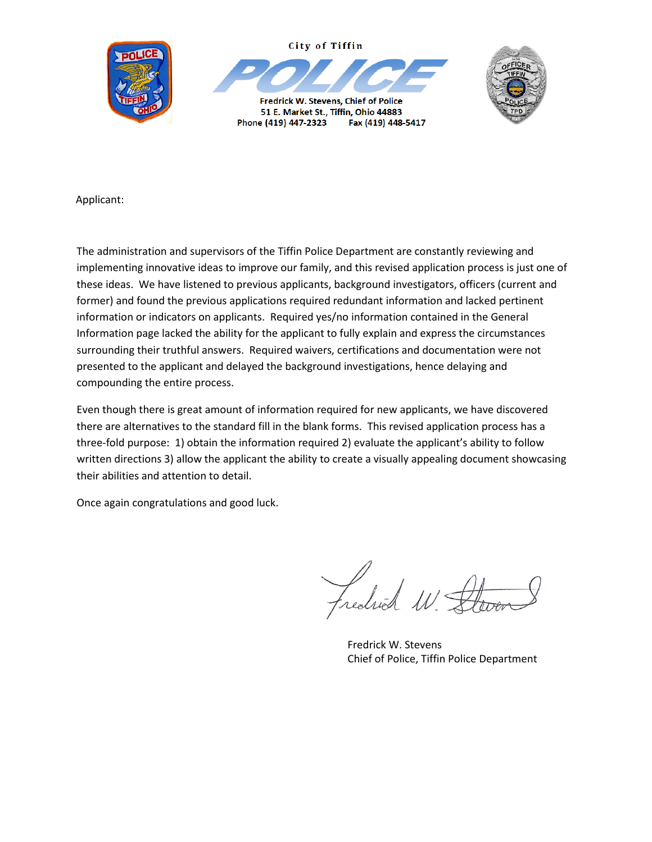



Fredrick W. Stevens, Chief of Police 51 E. Market St., Tiffin, Ohio 44883 Phone (419) 447-2323 Fax (419) 448-5417



Applicant:

The administration and supervisors of the Tiffin Police Department are constantly reviewing and implementing innovative ideas to improve our family, and this revised application process is just one of these ideas. We have listened to previous applicants, background investigators, officers (current and former) and found the previous applications required redundant information and lacked pertinent information or indicators on applicants. Required yes/no information contained in the General Information page lacked the ability for the applicant to fully explain and express the circumstances surrounding their truthful answers. Required waivers, certifications and documentation were not presented to the applicant and delayed the background investigations, hence delaying and compounding the entire process.

Even though there is great amount of information required for new applicants, we have discovered there are alternatives to the standard fill in the blank forms. This revised application process has a three-fold purpose: 1) obtain the information required 2) evaluate the applicant's ability to follow written directions 3) allow the applicant the ability to create a visually appealing document showcasing their abilities and attention to detail.

Once again congratulations and good luck.

Fredrick W.

Fredrick W. Stevens Chief of Police, Tiffin Police Department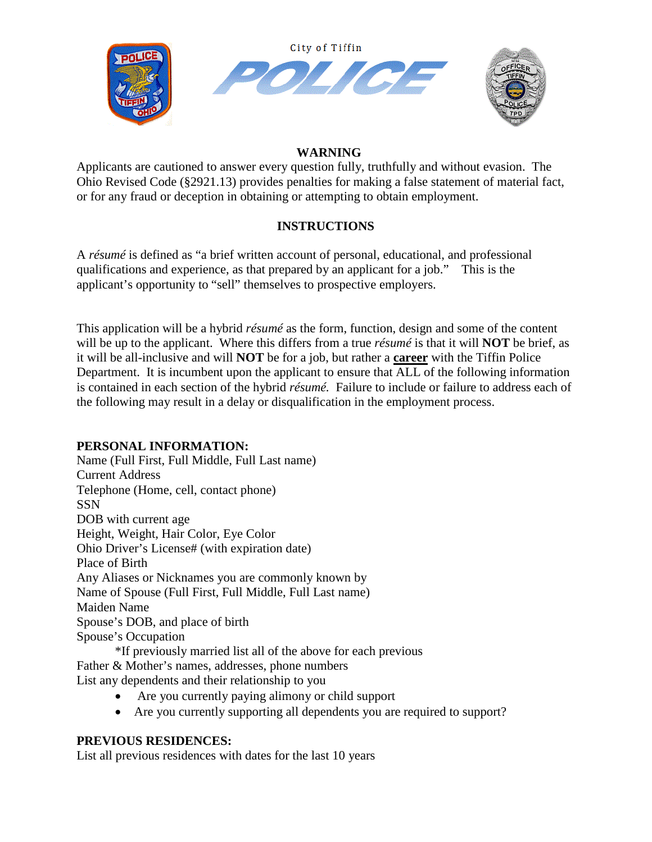

#### **WARNING**

Applicants are cautioned to answer every question fully, truthfully and without evasion. The Ohio Revised Code (§2921.13) provides penalties for making a false statement of material fact, or for any fraud or deception in obtaining or attempting to obtain employment.

### **INSTRUCTIONS**

A *résumé* is defined as "a brief written account of personal, educational, and professional qualifications and experience, as that prepared by an applicant for a job." This is the applicant's opportunity to "sell" themselves to prospective employers.

This application will be a hybrid *résumé* as the form, function, design and some of the content will be up to the applicant. Where this differs from a true *résumé* is that it will **NOT** be brief, as it will be all-inclusive and will **NOT** be for a job, but rather a **career** with the Tiffin Police Department. It is incumbent upon the applicant to ensure that ALL of the following information is contained in each section of the hybrid *résumé.* Failure to include or failure to address each of the following may result in a delay or disqualification in the employment process.

#### **PERSONAL INFORMATION:**

Name (Full First, Full Middle, Full Last name) Current Address Telephone (Home, cell, contact phone) SSN DOB with current age Height, Weight, Hair Color, Eye Color Ohio Driver's License# (with expiration date) Place of Birth Any Aliases or Nicknames you are commonly known by Name of Spouse (Full First, Full Middle, Full Last name) Maiden Name Spouse's DOB, and place of birth Spouse's Occupation \*If previously married list all of the above for each previous Father & Mother's names, addresses, phone numbers

List any dependents and their relationship to you

- Are you currently paying alimony or child support
- Are you currently supporting all dependents you are required to support?

#### **PREVIOUS RESIDENCES:**

List all previous residences with dates for the last 10 years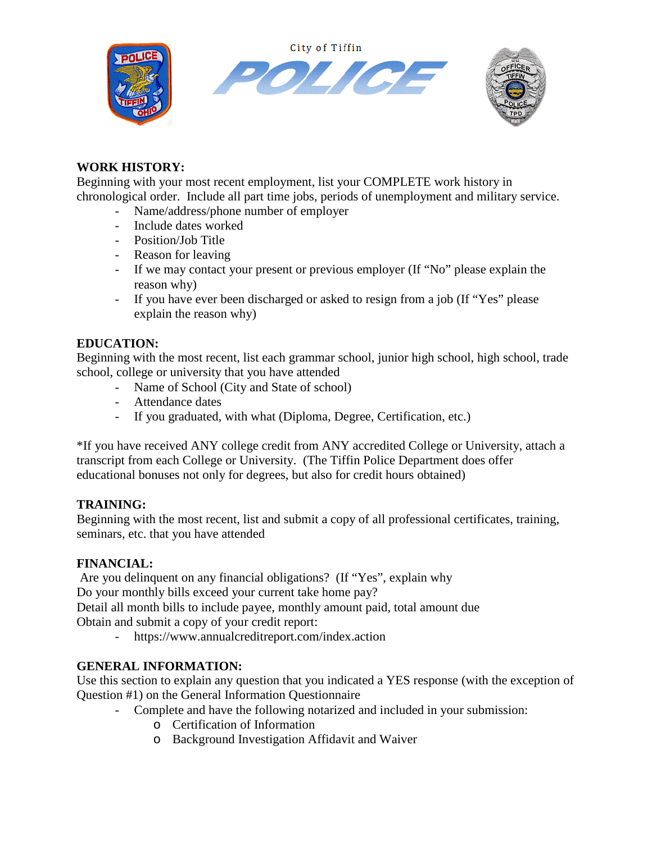City of Tiffin







# **WORK HISTORY:**

Beginning with your most recent employment, list your COMPLETE work history in chronological order. Include all part time jobs, periods of unemployment and military service.

- Name/address/phone number of employer
- Include dates worked
- Position/Job Title
- Reason for leaving
- If we may contact your present or previous employer (If "No" please explain the reason why)
- If you have ever been discharged or asked to resign from a job (If "Yes" please explain the reason why)

### **EDUCATION:**

Beginning with the most recent, list each grammar school, junior high school, high school, trade school, college or university that you have attended

- Name of School (City and State of school)
- Attendance dates
- If you graduated, with what (Diploma, Degree, Certification, etc.)

\*If you have received ANY college credit from ANY accredited College or University, attach a transcript from each College or University. (The Tiffin Police Department does offer educational bonuses not only for degrees, but also for credit hours obtained)

#### **TRAINING:**

Beginning with the most recent, list and submit a copy of all professional certificates, training, seminars, etc. that you have attended

#### **FINANCIAL:**

Are you delinquent on any financial obligations? (If "Yes", explain why Do your monthly bills exceed your current take home pay?

Detail all month bills to include payee, monthly amount paid, total amount due Obtain and submit a copy of your credit report:

- https://www.annualcreditreport.com/index.action

# **GENERAL INFORMATION:**

Use this section to explain any question that you indicated a YES response (with the exception of Question #1) on the General Information Questionnaire

- Complete and have the following notarized and included in your submission:
	- o Certification of Information
	- o Background Investigation Affidavit and Waiver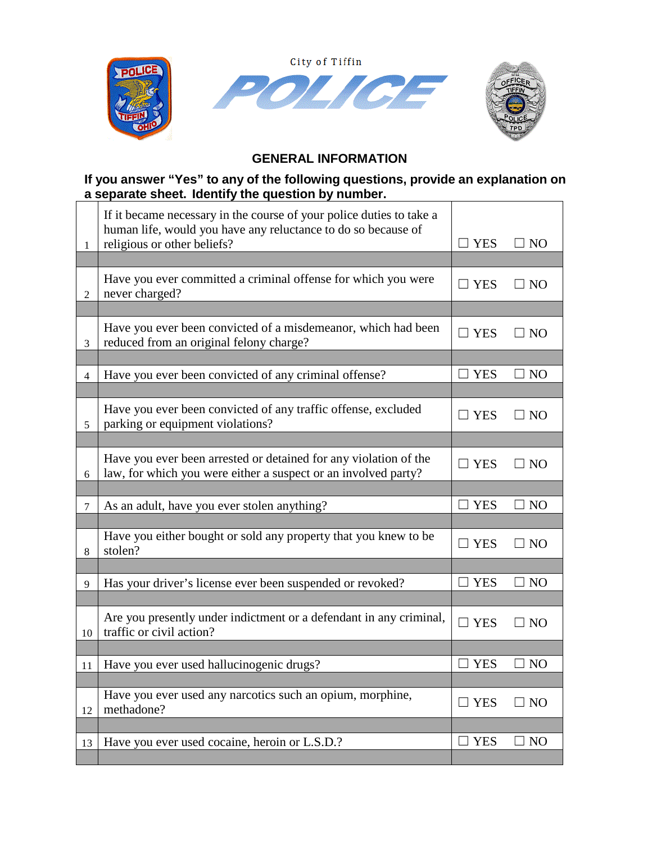

# **GENERAL INFORMATION**

### **If you answer "Yes" to any of the following questions, provide an explanation on a separate sheet. Identify the question by number.**

| 1              | If it became necessary in the course of your police duties to take a<br>human life, would you have any reluctance to do so because of<br>religious or other beliefs? | $\Box$ YES    | $\Box$ NO      |
|----------------|----------------------------------------------------------------------------------------------------------------------------------------------------------------------|---------------|----------------|
|                |                                                                                                                                                                      |               |                |
| 2              | Have you ever committed a criminal offense for which you were<br>never charged?                                                                                      | $\Box$ YES    | $\square$ NO   |
|                |                                                                                                                                                                      |               |                |
| 3              | Have you ever been convicted of a misdemeanor, which had been<br>reduced from an original felony charge?                                                             | $\Box$ YES    | $\Box$ NO      |
|                |                                                                                                                                                                      |               |                |
| $\overline{4}$ | Have you ever been convicted of any criminal offense?                                                                                                                | $\square$ YES | $\Box$ NO      |
|                |                                                                                                                                                                      |               |                |
| 5              | Have you ever been convicted of any traffic offense, excluded<br>parking or equipment violations?                                                                    | $\Box$ YES    | $\exists$ NO   |
|                |                                                                                                                                                                      |               |                |
| 6              | Have you ever been arrested or detained for any violation of the<br>law, for which you were either a suspect or an involved party?                                   | $\Box$ YES    | ⊔ NO           |
|                |                                                                                                                                                                      |               |                |
| 7              | As an adult, have you ever stolen anything?                                                                                                                          | $\Box$ YES    | $\square$ NO   |
|                |                                                                                                                                                                      |               |                |
| 8              | Have you either bought or sold any property that you knew to be<br>stolen?                                                                                           | $\Box$ YES    | $\square$ NO   |
|                |                                                                                                                                                                      |               |                |
| 9              | Has your driver's license ever been suspended or revoked?                                                                                                            | <b>YES</b>    | $\exists$ NO   |
|                |                                                                                                                                                                      |               |                |
| 10             | Are you presently under indictment or a defendant in any criminal,<br>traffic or civil action?                                                                       | $\square$ YES | $\Box$ NO      |
|                |                                                                                                                                                                      |               |                |
| 11             | Have you ever used hallucinogenic drugs?                                                                                                                             | <b>YES</b>    | N <sub>O</sub> |
|                |                                                                                                                                                                      |               |                |
| 12             | Have you ever used any narcotics such an opium, morphine,<br>methadone?                                                                                              | $\Box$ YES    | $\exists$ NO   |
|                |                                                                                                                                                                      |               |                |
| 13             | Have you ever used cocaine, heroin or L.S.D.?                                                                                                                        | $\square$ YES | $\square$ NO   |
|                |                                                                                                                                                                      |               |                |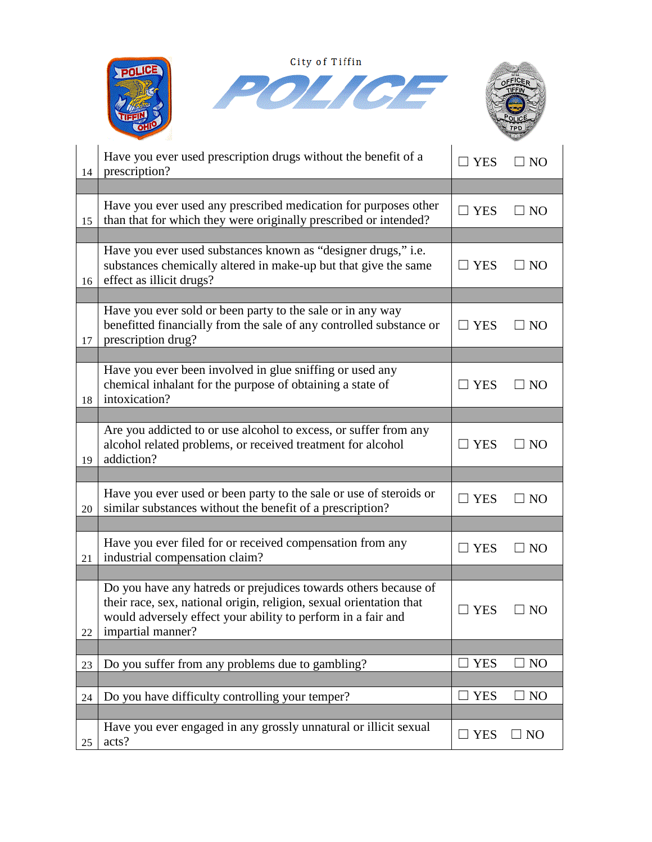| City of Tiffin |                                                                                                                                                                                                                             |               |                 |
|----------------|-----------------------------------------------------------------------------------------------------------------------------------------------------------------------------------------------------------------------------|---------------|-----------------|
|                |                                                                                                                                                                                                                             |               |                 |
| 14             | Have you ever used prescription drugs without the benefit of a<br>prescription?                                                                                                                                             | <b>YES</b>    | NO <sub>1</sub> |
|                |                                                                                                                                                                                                                             |               |                 |
| 15             | Have you ever used any prescribed medication for purposes other<br>than that for which they were originally prescribed or intended?                                                                                         | $\Box$ YES    | <b>NO</b>       |
| 16             | Have you ever used substances known as "designer drugs," i.e.<br>substances chemically altered in make-up but that give the same<br>effect as illicit drugs?                                                                | <b>YES</b>    | NO              |
| 17             | Have you ever sold or been party to the sale or in any way<br>benefitted financially from the sale of any controlled substance or<br>prescription drug?                                                                     | $\Box$ YES    | NO              |
|                |                                                                                                                                                                                                                             |               |                 |
| 18             | Have you ever been involved in glue sniffing or used any<br>chemical inhalant for the purpose of obtaining a state of<br>intoxication?                                                                                      | <b>YES</b>    | NO              |
|                |                                                                                                                                                                                                                             |               |                 |
| 19             | Are you addicted to or use alcohol to excess, or suffer from any<br>alcohol related problems, or received treatment for alcohol<br>addiction?                                                                               | $\square$ YES | NO              |
|                |                                                                                                                                                                                                                             |               |                 |
| 20             | Have you ever used or been party to the sale or use of steroids or<br>similar substances without the benefit of a prescription?                                                                                             | <b>YES</b>    | NO              |
|                |                                                                                                                                                                                                                             |               |                 |
| 21             | Have you ever filed for or received compensation from any<br>industrial compensation claim?                                                                                                                                 | $\Box$ YES    | $\Box$ NO       |
|                |                                                                                                                                                                                                                             |               |                 |
| 22             | Do you have any hatreds or prejudices towards others because of<br>their race, sex, national origin, religion, sexual orientation that<br>would adversely effect your ability to perform in a fair and<br>impartial manner? | $\Box$ YES    | $\Box$ NO       |
|                |                                                                                                                                                                                                                             |               |                 |
| 23             | Do you suffer from any problems due to gambling?                                                                                                                                                                            | <b>YES</b>    | N <sub>O</sub>  |
|                |                                                                                                                                                                                                                             |               |                 |
| 24             | Do you have difficulty controlling your temper?                                                                                                                                                                             | <b>YES</b>    | NO              |
|                |                                                                                                                                                                                                                             |               |                 |
| 25             | Have you ever engaged in any grossly unnatural or illicit sexual<br>acts?                                                                                                                                                   | $\Box$ YES    | NO              |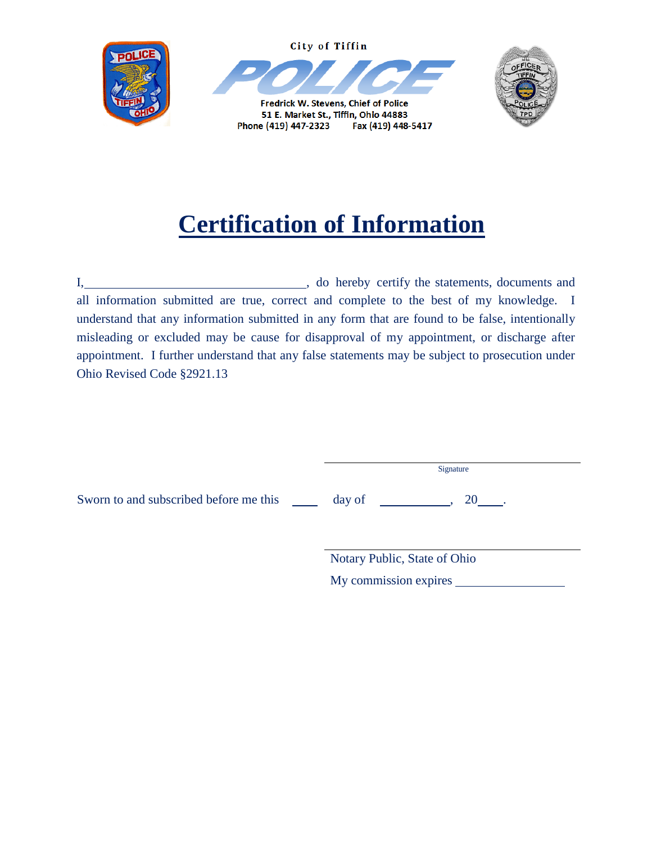

# **Certification of Information**

I,  $\frac{1}{2}$  , do hereby certify the statements, documents and all information submitted are true, correct and complete to the best of my knowledge. I understand that any information submitted in any form that are found to be false, intentionally misleading or excluded may be cause for disapproval of my appointment, or discharge after appointment. I further understand that any false statements may be subject to prosecution under Ohio Revised Code §2921.13

|                                        | Signature                    |
|----------------------------------------|------------------------------|
| Sworn to and subscribed before me this | day of<br>20                 |
|                                        | Notary Public, State of Ohio |
|                                        | My commission expires        |